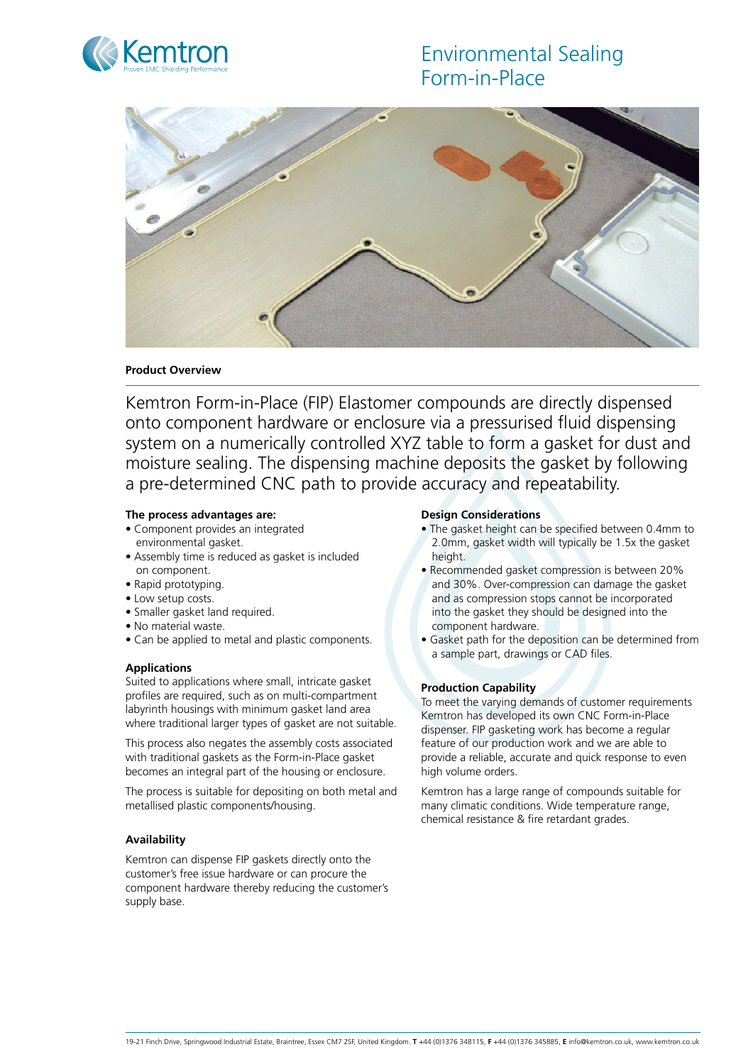# Environmental Sealing Form-in-Place





# **Product Overview**

Kemtron Form-in-Place (FIP) Elastomer compounds are directly dispensed onto component hardware or enclosure via a pressurised fluid dispensing system on a numerically controlled XYZ table to form a gasket for dust and moisture sealing. The dispensing machine deposits the gasket by following a pre-determined CNC path to provide accuracy and repeatability.

#### **The process advantages are:**

- Component provides an integrated environmental gasket.
- Assembly time is reduced as gasket is included on component.
- Rapid prototyping.
- Low setup costs.
- Smaller gasket land required.
- No material waste.
- Can be applied to metal and plastic components.

# **Applications**

Suited to applications where small, intricate gasket profiles are required, such as on multi-compartment labyrinth housings with minimum gasket land area where traditional larger types of gasket are not suitable.

This process also negates the assembly costs associated with traditional gaskets as the Form-in-Place gasket becomes an integral part of the housing or enclosure.

The process is suitable for depositing on both metal and metallised plastic components/housing.

# **Availability**

Kemtron can dispense FIP gaskets directly onto the customer's free issue hardware or can procure the component hardware thereby reducing the customer's supply base.

#### **Design Considerations**

- The gasket height can be specified between 0.4mm to 2.0mm, gasket width will typically be 1.5x the gasket height
- Recommended gasket compression is between 20% and 30%. Over-compression can damage the gasket and as compression stops cannot be incorporated into the gasket they should be designed into the component hardware.
- Gasket path for the deposition can be determined from a sample part, drawings or CAD files.

# **Production Capability**

To meet the varying demands of customer requirements Kemtron has developed its own CNC Form-in-Place dispenser. FIP gasketing work has become a regular feature of our production work and we are able to provide a reliable, accurate and quick response to even high volume orders.

Kemtron has a large range of compounds suitable for many climatic conditions. Wide temperature range, chemical resistance & fire retardant grades.